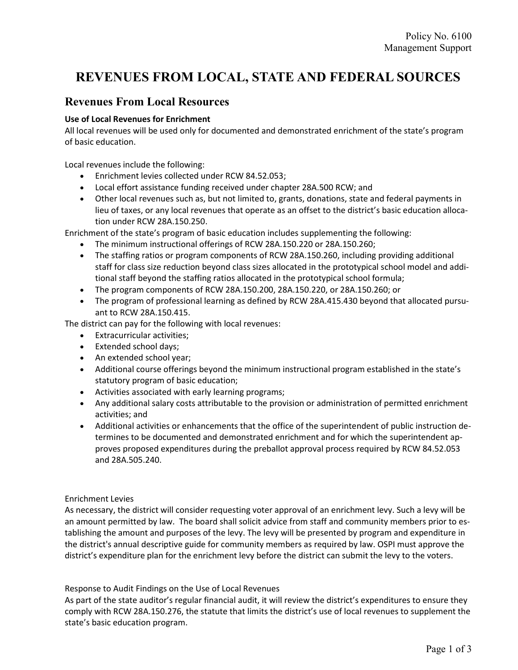# REVENUES FROM LOCAL, STATE AND FEDERAL SOURCES

# Revenues From Local Resources

## Use of Local Revenues for Enrichment

All local revenues will be used only for documented and demonstrated enrichment of the state's program of basic education.

Local revenues include the following:

- Enrichment levies collected under RCW 84.52.053;
- Local effort assistance funding received under chapter 28A.500 RCW; and
- Other local revenues such as, but not limited to, grants, donations, state and federal payments in lieu of taxes, or any local revenues that operate as an offset to the district's basic education allocation under RCW 28A.150.250.

Enrichment of the state's program of basic education includes supplementing the following:

- The minimum instructional offerings of RCW 28A.150.220 or 28A.150.260;
- The staffing ratios or program components of RCW 28A.150.260, including providing additional staff for class size reduction beyond class sizes allocated in the prototypical school model and additional staff beyond the staffing ratios allocated in the prototypical school formula;
- The program components of RCW 28A.150.200, 28A.150.220, or 28A.150.260; or
- The program of professional learning as defined by RCW 28A.415.430 beyond that allocated pursuant to RCW 28A.150.415.

The district can pay for the following with local revenues:

- Extracurricular activities;
- Extended school days;
- An extended school year;
- Additional course offerings beyond the minimum instructional program established in the state's statutory program of basic education;
- Activities associated with early learning programs;
- Any additional salary costs attributable to the provision or administration of permitted enrichment activities; and
- Additional activities or enhancements that the office of the superintendent of public instruction determines to be documented and demonstrated enrichment and for which the superintendent approves proposed expenditures during the preballot approval process required by RCW 84.52.053 and 28A.505.240.

### Enrichment Levies

As necessary, the district will consider requesting voter approval of an enrichment levy. Such a levy will be an amount permitted by law. The board shall solicit advice from staff and community members prior to establishing the amount and purposes of the levy. The levy will be presented by program and expenditure in the district's annual descriptive guide for community members as required by law. OSPI must approve the district's expenditure plan for the enrichment levy before the district can submit the levy to the voters.

Response to Audit Findings on the Use of Local Revenues

As part of the state auditor's regular financial audit, it will review the district's expenditures to ensure they comply with RCW 28A.150.276, the statute that limits the district's use of local revenues to supplement the state's basic education program.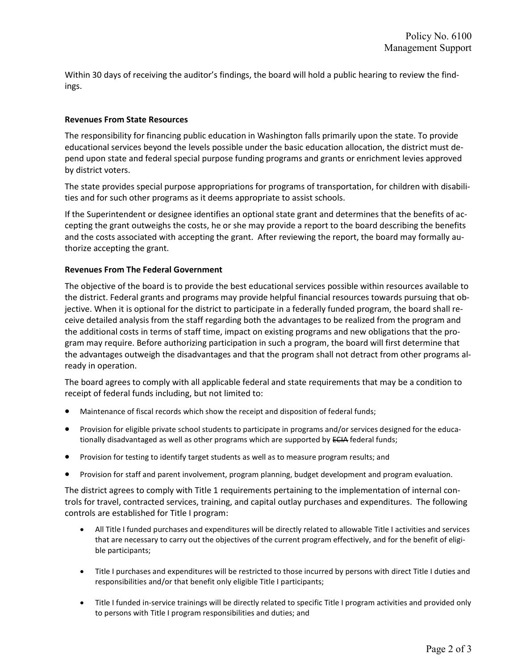Within 30 days of receiving the auditor's findings, the board will hold a public hearing to review the findings.

### Revenues From State Resources

The responsibility for financing public education in Washington falls primarily upon the state. To provide educational services beyond the levels possible under the basic education allocation, the district must depend upon state and federal special purpose funding programs and grants or enrichment levies approved by district voters.

The state provides special purpose appropriations for programs of transportation, for children with disabilities and for such other programs as it deems appropriate to assist schools.

If the Superintendent or designee identifies an optional state grant and determines that the benefits of accepting the grant outweighs the costs, he or she may provide a report to the board describing the benefits and the costs associated with accepting the grant. After reviewing the report, the board may formally authorize accepting the grant.

#### Revenues From The Federal Government

The objective of the board is to provide the best educational services possible within resources available to the district. Federal grants and programs may provide helpful financial resources towards pursuing that objective. When it is optional for the district to participate in a federally funded program, the board shall receive detailed analysis from the staff regarding both the advantages to be realized from the program and the additional costs in terms of staff time, impact on existing programs and new obligations that the program may require. Before authorizing participation in such a program, the board will first determine that the advantages outweigh the disadvantages and that the program shall not detract from other programs already in operation.

The board agrees to comply with all applicable federal and state requirements that may be a condition to receipt of federal funds including, but not limited to:

- Maintenance of fiscal records which show the receipt and disposition of federal funds;
- Provision for eligible private school students to participate in programs and/or services designed for the educationally disadvantaged as well as other programs which are supported by ECIA federal funds;
- Provision for testing to identify target students as well as to measure program results; and
- Provision for staff and parent involvement, program planning, budget development and program evaluation.

The district agrees to comply with Title 1 requirements pertaining to the implementation of internal controls for travel, contracted services, training, and capital outlay purchases and expenditures. The following controls are established for Title I program:

- All Title I funded purchases and expenditures will be directly related to allowable Title I activities and services that are necessary to carry out the objectives of the current program effectively, and for the benefit of eligible participants;
- Title I purchases and expenditures will be restricted to those incurred by persons with direct Title I duties and responsibilities and/or that benefit only eligible Title I participants;
- Title I funded in-service trainings will be directly related to specific Title I program activities and provided only to persons with Title I program responsibilities and duties; and